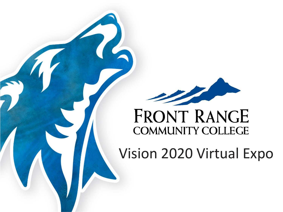

### **FRONT RANGE COMMUNITY COLLEGE**

Vision 2020 Virtual Expo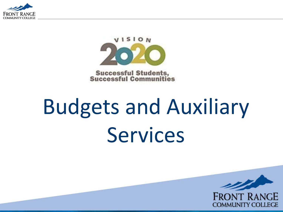



**Successful Students,<br>Successful Communities** 

# Budgets and Auxiliary Services

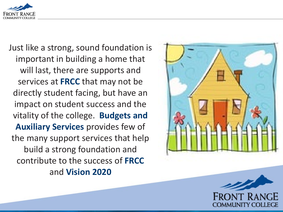

Just like a strong, sound foundation is important in building a home that will last, there are supports and services at **FRCC** that may not be directly student facing, but have an impact on student success and the vitality of the college. **Budgets and Auxiliary Services** provides few of the many support services that help build a strong foundation and contribute to the success of **FRCC** and **Vision 2020**



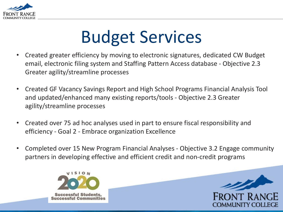

# Budget Services

- Created greater efficiency by moving to electronic signatures, dedicated CW Budget email, electronic filing system and Staffing Pattern Access database - Objective 2.3 Greater agility/streamline processes
- Created GF Vacancy Savings Report and High School Programs Financial Analysis Tool and updated/enhanced many existing reports/tools - Objective 2.3 Greater agility/streamline processes
- Created over 75 ad hoc analyses used in part to ensure fiscal responsibility and efficiency - Goal 2 - Embrace organization Excellence
- Completed over 15 New Program Financial Analyses Objective 3.2 Engage community partners in developing effective and efficient credit and non-credit programs



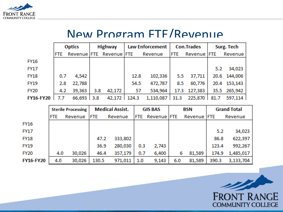

#### New Program FTE/Revenue

|                  | <b>Optics</b> |              | Highway |                         |      | Law Enforcement  | <b>Con.Trades</b> |                | Surg. Tech |              |
|------------------|---------------|--------------|---------|-------------------------|------|------------------|-------------------|----------------|------------|--------------|
|                  | <b>FTE</b>    |              |         | Revenue FTE Revenue FTE |      | Revenue          | <b>FTE</b>        | Revenue FTE    |            | Revenue      |
| FY16             |               |              |         |                         |      |                  |                   |                |            |              |
| <b>FY17</b>      |               |              |         |                         |      |                  |                   |                | 5.2        | 34,023       |
| <b>FY18</b>      | 0.7           | 4,542        |         |                         | 12.8 | 102,336          | 5.5               | 37,711         |            | 20.6 144,006 |
| <b>FY19</b>      | 2.8           | 22,788       |         |                         | 54.5 | 472,787          | 8.5               | 60,776         |            | 20.4 153,143 |
| <b>FY20</b>      | 4.2           | 39,363       | 3.8     | 42,172                  | 57   | 534,964          |                   | 17.3 127,383   |            | 35.5 265,942 |
| <b>FY16-FY20</b> | 7.7           | $66,693$ 3.8 |         | 42,172 124.3            |      | $1,110,087$ 31.3 |                   | 225,870   81.7 |            | 597,114      |

|                  | <b>Sterile Processing</b> |         | <b>Medical Assist.</b> |         | <b>GIS BAS</b> |                    | BSN |             | <b>Grand Total</b> |           |
|------------------|---------------------------|---------|------------------------|---------|----------------|--------------------|-----|-------------|--------------------|-----------|
|                  | <b>FTE</b>                | Revenue | <b>FTE</b>             | Revenue | <b>FTE</b>     | Revenue <b>FTE</b> |     | Revenue FTE |                    | Revenue   |
| <b>FY16</b>      |                           |         |                        |         |                |                    |     |             |                    |           |
| <b>FY17</b>      |                           |         |                        |         |                |                    |     |             | 5.2                | 34,023    |
| <b>FY18</b>      |                           |         | 47.2                   | 333,802 |                |                    |     |             | 86.8               | 622,397   |
| <b>FY19</b>      |                           |         | 36.9                   | 280,030 | 0.3            | 2,743              |     |             | 123.4              | 992,267   |
| <b>FY20</b>      | 4.0                       | 30,026  | 46.4                   | 357,179 | 0.7            | 6,400              | 6   | 81,589      | 174.9              | 1,485,017 |
| <b>FY16-FY20</b> | 4.0                       | 30,026  | 130.5                  | 971,011 | 1.0            | 9,143              | 6.0 | 81,589      | 390.3              | 3,133,704 |

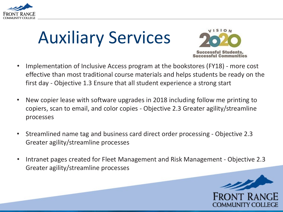

# Auxiliary Services



- Implementation of Inclusive Access program at the bookstores (FY18) more cost effective than most traditional course materials and helps students be ready on the first day - Objective 1.3 Ensure that all student experience a strong start
- New copier lease with software upgrades in 2018 including follow me printing to copiers, scan to email, and color copies - Objective 2.3 Greater agility/streamline processes
- Streamlined name tag and business card direct order processing Objective 2.3 Greater agility/streamline processes
- Intranet pages created for Fleet Management and Risk Management Objective 2.3 Greater agility/streamline processes

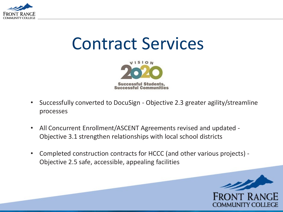

## Contract Services



- Successfully converted to DocuSign Objective 2.3 greater agility/streamline processes
- All Concurrent Enrollment/ASCENT Agreements revised and updated Objective 3.1 strengthen relationships with local school districts
- Completed construction contracts for HCCC (and other various projects) Objective 2.5 safe, accessible, appealing facilities